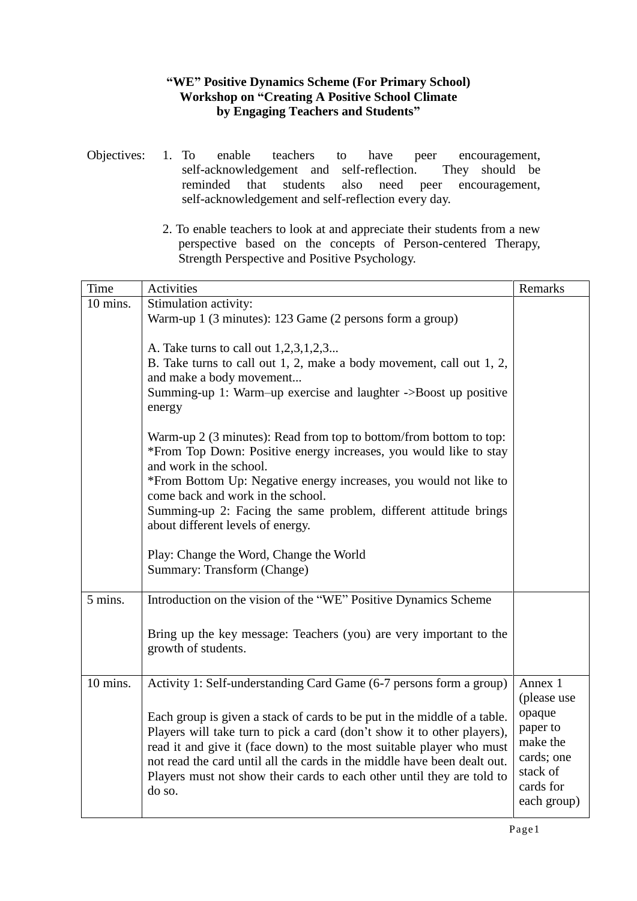## **"WE" Positive Dynamics Scheme (For Primary School) Workshop on "Creating A Positive School Climate by Engaging Teachers and Students"**

- Objectives: 1. To enable teachers to have peer encouragement, self-acknowledgement and self-reflection. They should be reminded that students also need peer encouragement, self-acknowledgement and self-reflection every day.
	- 2. To enable teachers to look at and appreciate their students from a new perspective based on the concepts of Person-centered Therapy, Strength Perspective and Positive Psychology.

| Time       | Activities                                                                                  | Remarks                |
|------------|---------------------------------------------------------------------------------------------|------------------------|
| 10 mins.   | Stimulation activity:                                                                       |                        |
|            | Warm-up 1 (3 minutes): 123 Game (2 persons form a group)                                    |                        |
|            |                                                                                             |                        |
|            | A. Take turns to call out 1,2,3,1,2,3                                                       |                        |
|            | B. Take turns to call out 1, 2, make a body movement, call out 1, 2,                        |                        |
|            | and make a body movement<br>Summing-up 1: Warm-up exercise and laughter ->Boost up positive |                        |
|            | energy                                                                                      |                        |
|            |                                                                                             |                        |
|            | Warm-up 2 (3 minutes): Read from top to bottom/from bottom to top:                          |                        |
|            | *From Top Down: Positive energy increases, you would like to stay                           |                        |
|            | and work in the school.                                                                     |                        |
|            | *From Bottom Up: Negative energy increases, you would not like to                           |                        |
|            | come back and work in the school.                                                           |                        |
|            | Summing-up 2: Facing the same problem, different attitude brings                            |                        |
|            | about different levels of energy.                                                           |                        |
|            | Play: Change the Word, Change the World                                                     |                        |
|            | Summary: Transform (Change)                                                                 |                        |
|            |                                                                                             |                        |
| 5 mins.    | Introduction on the vision of the "WE" Positive Dynamics Scheme                             |                        |
|            |                                                                                             |                        |
|            | Bring up the key message: Teachers (you) are very important to the                          |                        |
|            | growth of students.                                                                         |                        |
|            |                                                                                             |                        |
| $10$ mins. | Activity 1: Self-understanding Card Game (6-7 persons form a group)                         | Annex 1                |
|            |                                                                                             | (please use            |
|            | Each group is given a stack of cards to be put in the middle of a table.                    | opaque                 |
|            | Players will take turn to pick a card (don't show it to other players),                     | paper to               |
|            | read it and give it (face down) to the most suitable player who must                        | make the               |
|            | not read the card until all the cards in the middle have been dealt out.                    | cards; one<br>stack of |
|            | Players must not show their cards to each other until they are told to                      | cards for              |
|            | do so.                                                                                      | each group)            |
|            |                                                                                             |                        |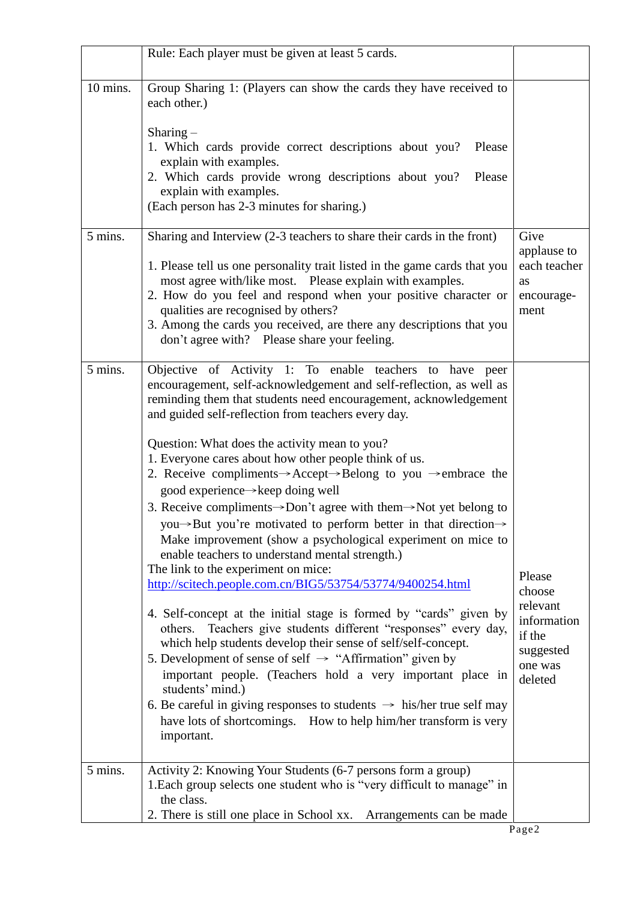|          | Rule: Each player must be given at least 5 cards.                                                                                                                                                                                                                                                                                                                                                                                                                                                                                                                                                                                                                                                                                                                                                                                                                                                                                                                                                                                                                                                                                                                                                                                                                                                                                                                                                                                                 |                                                                                          |
|----------|---------------------------------------------------------------------------------------------------------------------------------------------------------------------------------------------------------------------------------------------------------------------------------------------------------------------------------------------------------------------------------------------------------------------------------------------------------------------------------------------------------------------------------------------------------------------------------------------------------------------------------------------------------------------------------------------------------------------------------------------------------------------------------------------------------------------------------------------------------------------------------------------------------------------------------------------------------------------------------------------------------------------------------------------------------------------------------------------------------------------------------------------------------------------------------------------------------------------------------------------------------------------------------------------------------------------------------------------------------------------------------------------------------------------------------------------------|------------------------------------------------------------------------------------------|
| 10 mins. | Group Sharing 1: (Players can show the cards they have received to<br>each other.)                                                                                                                                                                                                                                                                                                                                                                                                                                                                                                                                                                                                                                                                                                                                                                                                                                                                                                                                                                                                                                                                                                                                                                                                                                                                                                                                                                |                                                                                          |
|          | Sharing $-$<br>1. Which cards provide correct descriptions about you?<br>Please<br>explain with examples.<br>2. Which cards provide wrong descriptions about you?<br>Please<br>explain with examples.<br>(Each person has 2-3 minutes for sharing.)                                                                                                                                                                                                                                                                                                                                                                                                                                                                                                                                                                                                                                                                                                                                                                                                                                                                                                                                                                                                                                                                                                                                                                                               |                                                                                          |
| 5 mins.  | Sharing and Interview (2-3 teachers to share their cards in the front)<br>1. Please tell us one personality trait listed in the game cards that you<br>most agree with/like most. Please explain with examples.<br>2. How do you feel and respond when your positive character or<br>qualities are recognised by others?<br>3. Among the cards you received, are there any descriptions that you<br>don't agree with? Please share your feeling.                                                                                                                                                                                                                                                                                                                                                                                                                                                                                                                                                                                                                                                                                                                                                                                                                                                                                                                                                                                                  | Give<br>applause to<br>each teacher<br>as<br>encourage-<br>ment                          |
| 5 mins.  | Objective of Activity 1: To enable teachers to have peer<br>encouragement, self-acknowledgement and self-reflection, as well as<br>reminding them that students need encouragement, acknowledgement<br>and guided self-reflection from teachers every day.<br>Question: What does the activity mean to you?<br>1. Everyone cares about how other people think of us.<br>2. Receive compliments $\rightarrow$ Accept $\rightarrow$ Belong to you $\rightarrow$ embrace the<br>good experience→keep doing well<br>3. Receive compliments $\rightarrow$ Don't agree with them $\rightarrow$ Not yet belong to<br>you→But you're motivated to perform better in that direction→<br>Make improvement (show a psychological experiment on mice to<br>enable teachers to understand mental strength.)<br>The link to the experiment on mice:<br>http://scitech.people.com.cn/BIG5/53754/53774/9400254.html<br>4. Self-concept at the initial stage is formed by "cards" given by<br>Teachers give students different "responses" every day,<br>others.<br>which help students develop their sense of self/self-concept.<br>5. Development of sense of self $\rightarrow$ "Affirmation" given by<br>important people. (Teachers hold a very important place in<br>students' mind.)<br>6. Be careful in giving responses to students $\rightarrow$ his/her true self may<br>have lots of shortcomings. How to help him/her transform is very<br>important. | Please<br>choose<br>relevant<br>information<br>if the<br>suggested<br>one was<br>deleted |
| 5 mins.  | Activity 2: Knowing Your Students (6-7 persons form a group)<br>1. Each group selects one student who is "very difficult to manage" in<br>the class.<br>2. There is still one place in School xx.<br>Arrangements can be made                                                                                                                                                                                                                                                                                                                                                                                                                                                                                                                                                                                                                                                                                                                                                                                                                                                                                                                                                                                                                                                                                                                                                                                                                     |                                                                                          |